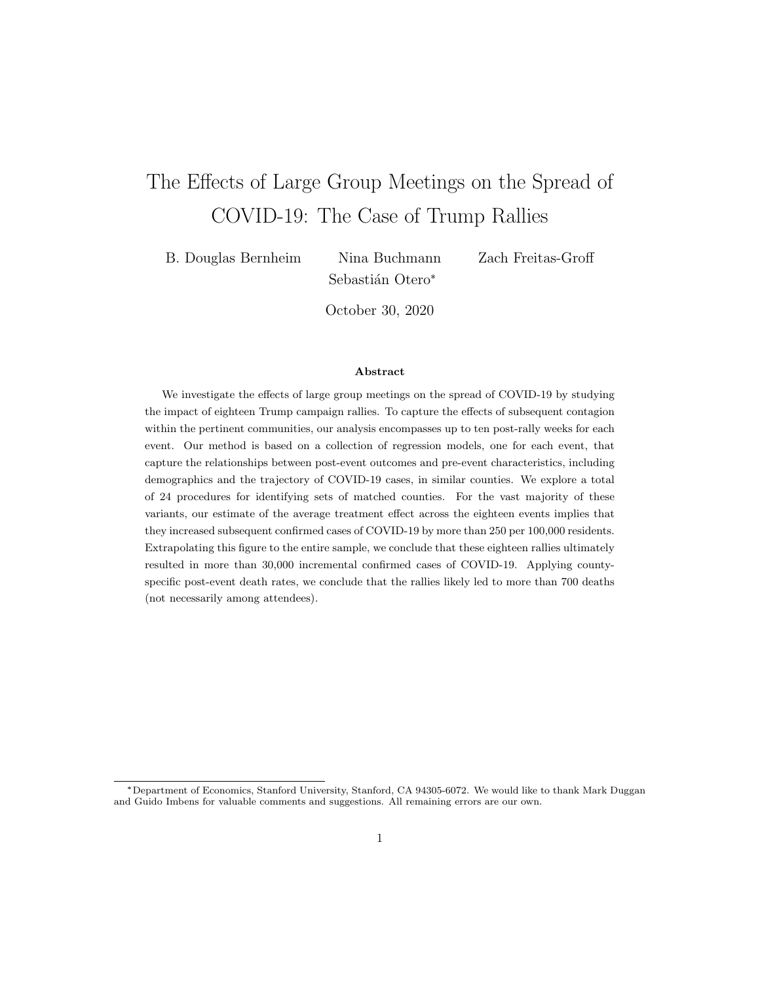# <span id="page-0-0"></span>The Effects of Large Group Meetings on the Spread of COVID-19: The Case of Trump Rallies

B. Douglas Bernheim Nina Buchmann Zach Freitas-Groff

Sebastián Otero\*

October 30, 2020

#### Abstract

We investigate the effects of large group meetings on the spread of COVID-19 by studying the impact of eighteen Trump campaign rallies. To capture the effects of subsequent contagion within the pertinent communities, our analysis encompasses up to ten post-rally weeks for each event. Our method is based on a collection of regression models, one for each event, that capture the relationships between post-event outcomes and pre-event characteristics, including demographics and the trajectory of COVID-19 cases, in similar counties. We explore a total of 24 procedures for identifying sets of matched counties. For the vast majority of these variants, our estimate of the average treatment effect across the eighteen events implies that they increased subsequent confirmed cases of COVID-19 by more than 250 per 100,000 residents. Extrapolating this figure to the entire sample, we conclude that these eighteen rallies ultimately resulted in more than 30,000 incremental confirmed cases of COVID-19. Applying countyspecific post-event death rates, we conclude that the rallies likely led to more than 700 deaths (not necessarily among attendees).

<sup>\*</sup>Department of Economics, Stanford University, Stanford, CA 94305-6072. We would like to thank Mark Duggan and Guido Imbens for valuable comments and suggestions. All remaining errors are our own.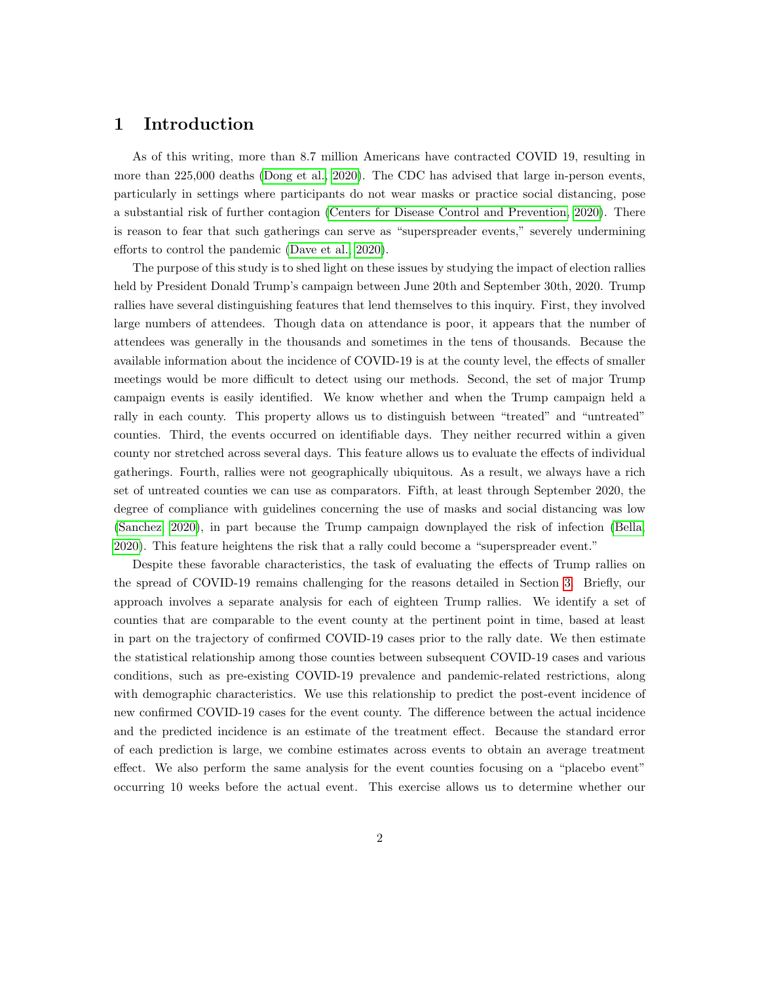## 1 Introduction

As of this writing, more than 8.7 million Americans have contracted COVID 19, resulting in more than 225,000 deaths [\(Dong et al., 2020\)](#page-14-0). The CDC has advised that large in-person events, particularly in settings where participants do not wear masks or practice social distancing, pose a substantial risk of further contagion [\(Centers for Disease Control and Prevention, 2020\)](#page-14-1). There is reason to fear that such gatherings can serve as "superspreader events," severely undermining efforts to control the pandemic [\(Dave et al., 2020\)](#page-14-2).

The purpose of this study is to shed light on these issues by studying the impact of election rallies held by President Donald Trump's campaign between June 20th and September 30th, 2020. Trump rallies have several distinguishing features that lend themselves to this inquiry. First, they involved large numbers of attendees. Though data on attendance is poor, it appears that the number of attendees was generally in the thousands and sometimes in the tens of thousands. Because the available information about the incidence of COVID-19 is at the county level, the effects of smaller meetings would be more difficult to detect using our methods. Second, the set of major Trump campaign events is easily identified. We know whether and when the Trump campaign held a rally in each county. This property allows us to distinguish between "treated" and "untreated" counties. Third, the events occurred on identifiable days. They neither recurred within a given county nor stretched across several days. This feature allows us to evaluate the effects of individual gatherings. Fourth, rallies were not geographically ubiquitous. As a result, we always have a rich set of untreated counties we can use as comparators. Fifth, at least through September 2020, the degree of compliance with guidelines concerning the use of masks and social distancing was low [\(Sanchez, 2020\)](#page-14-3), in part because the Trump campaign downplayed the risk of infection [\(Bella,](#page-14-4) [2020\)](#page-14-4). This feature heightens the risk that a rally could become a "superspreader event."

Despite these favorable characteristics, the task of evaluating the effects of Trump rallies on the spread of COVID-19 remains challenging for the reasons detailed in Section [3.](#page-4-0) Briefly, our approach involves a separate analysis for each of eighteen Trump rallies. We identify a set of counties that are comparable to the event county at the pertinent point in time, based at least in part on the trajectory of confirmed COVID-19 cases prior to the rally date. We then estimate the statistical relationship among those counties between subsequent COVID-19 cases and various conditions, such as pre-existing COVID-19 prevalence and pandemic-related restrictions, along with demographic characteristics. We use this relationship to predict the post-event incidence of new confirmed COVID-19 cases for the event county. The difference between the actual incidence and the predicted incidence is an estimate of the treatment effect. Because the standard error of each prediction is large, we combine estimates across events to obtain an average treatment effect. We also perform the same analysis for the event counties focusing on a "placebo event" occurring 10 weeks before the actual event. This exercise allows us to determine whether our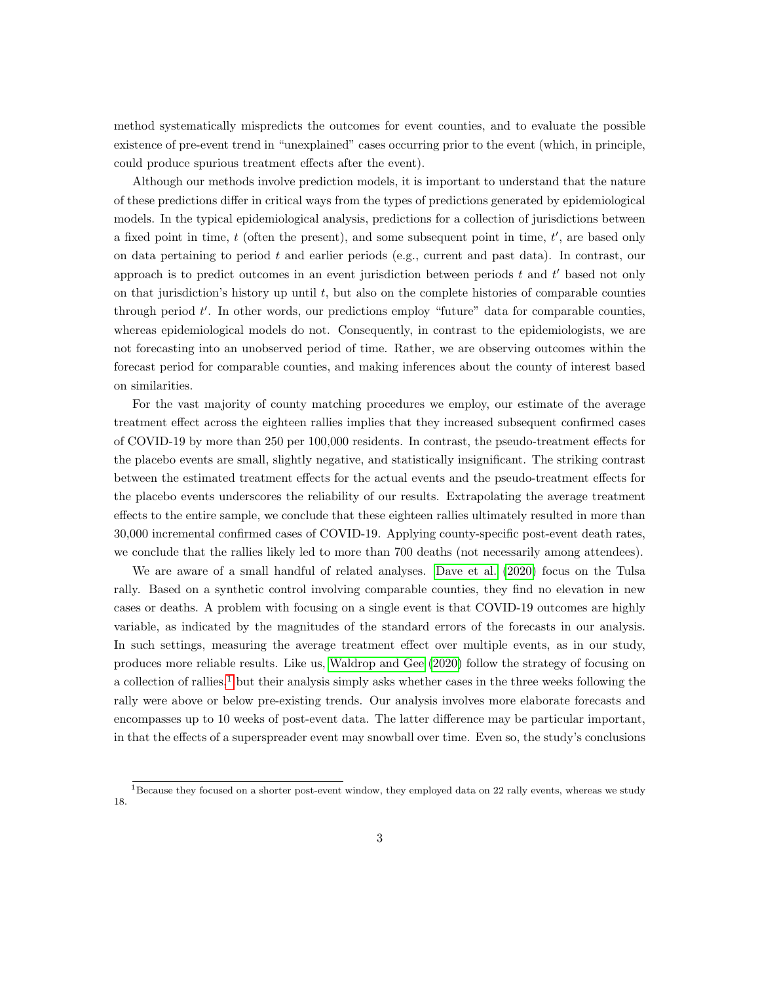method systematically mispredicts the outcomes for event counties, and to evaluate the possible existence of pre-event trend in "unexplained" cases occurring prior to the event (which, in principle, could produce spurious treatment effects after the event).

Although our methods involve prediction models, it is important to understand that the nature of these predictions differ in critical ways from the types of predictions generated by epidemiological models. In the typical epidemiological analysis, predictions for a collection of jurisdictions between a fixed point in time,  $t$  (often the present), and some subsequent point in time,  $t'$ , are based only on data pertaining to period  $t$  and earlier periods (e.g., current and past data). In contrast, our approach is to predict outcomes in an event jurisdiction between periods  $t$  and  $t'$  based not only on that jurisdiction's history up until  $t$ , but also on the complete histories of comparable counties through period  $t'$ . In other words, our predictions employ "future" data for comparable counties, whereas epidemiological models do not. Consequently, in contrast to the epidemiologists, we are not forecasting into an unobserved period of time. Rather, we are observing outcomes within the forecast period for comparable counties, and making inferences about the county of interest based on similarities.

For the vast majority of county matching procedures we employ, our estimate of the average treatment effect across the eighteen rallies implies that they increased subsequent confirmed cases of COVID-19 by more than 250 per 100,000 residents. In contrast, the pseudo-treatment effects for the placebo events are small, slightly negative, and statistically insignificant. The striking contrast between the estimated treatment effects for the actual events and the pseudo-treatment effects for the placebo events underscores the reliability of our results. Extrapolating the average treatment effects to the entire sample, we conclude that these eighteen rallies ultimately resulted in more than 30,000 incremental confirmed cases of COVID-19. Applying county-specific post-event death rates, we conclude that the rallies likely led to more than 700 deaths (not necessarily among attendees).

We are aware of a small handful of related analyses. [Dave et al.](#page-14-2) [\(2020\)](#page-14-2) focus on the Tulsa rally. Based on a synthetic control involving comparable counties, they find no elevation in new cases or deaths. A problem with focusing on a single event is that COVID-19 outcomes are highly variable, as indicated by the magnitudes of the standard errors of the forecasts in our analysis. In such settings, measuring the average treatment effect over multiple events, as in our study, produces more reliable results. Like us, [Waldrop and Gee](#page-14-5) [\(2020\)](#page-14-5) follow the strategy of focusing on a collection of rallies,<sup>[1](#page-0-0)</sup> but their analysis simply asks whether cases in the three weeks following the rally were above or below pre-existing trends. Our analysis involves more elaborate forecasts and encompasses up to 10 weeks of post-event data. The latter difference may be particular important, in that the effects of a superspreader event may snowball over time. Even so, the study's conclusions

<sup>&</sup>lt;sup>1</sup>Because they focused on a shorter post-event window, they employed data on 22 rally events, whereas we study 18.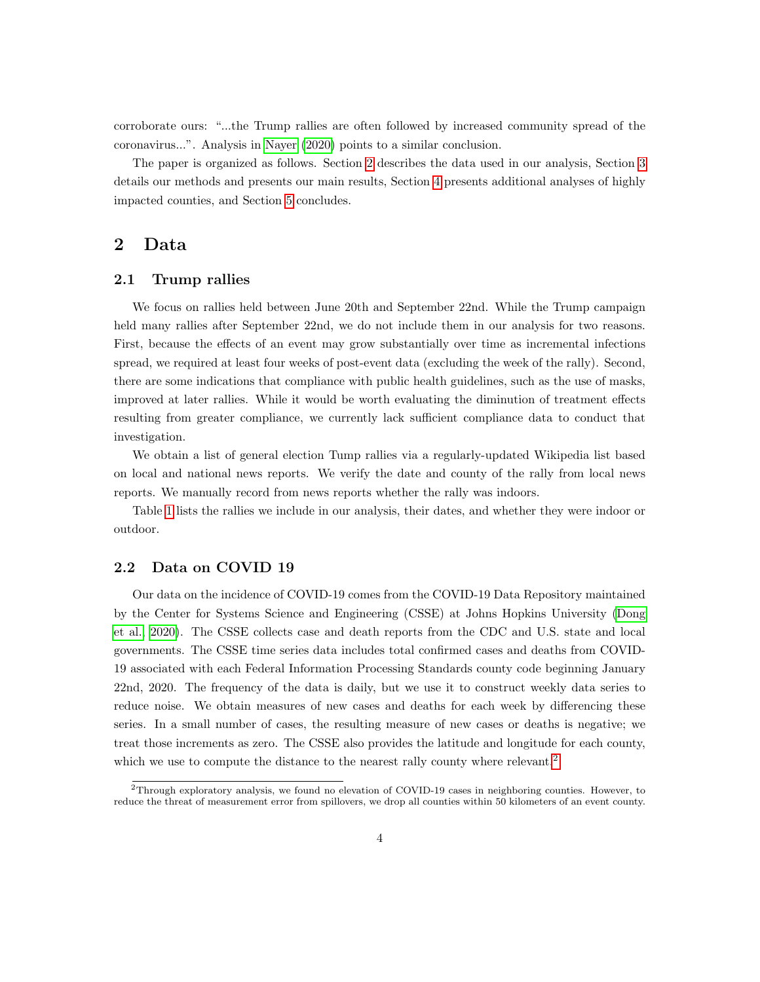corroborate ours: "...the Trump rallies are often followed by increased community spread of the coronavirus...". Analysis in [Nayer](#page-14-6) [\(2020\)](#page-14-6) points to a similar conclusion.

The paper is organized as follows. Section [2](#page-3-0) describes the data used in our analysis, Section [3](#page-4-0) details our methods and presents our main results, Section [4](#page-10-0) presents additional analyses of highly impacted counties, and Section [5](#page-12-0) concludes.

# <span id="page-3-0"></span>2 Data

### 2.1 Trump rallies

We focus on rallies held between June 20th and September 22nd. While the Trump campaign held many rallies after September 22nd, we do not include them in our analysis for two reasons. First, because the effects of an event may grow substantially over time as incremental infections spread, we required at least four weeks of post-event data (excluding the week of the rally). Second, there are some indications that compliance with public health guidelines, such as the use of masks, improved at later rallies. While it would be worth evaluating the diminution of treatment effects resulting from greater compliance, we currently lack sufficient compliance data to conduct that investigation.

We obtain a list of general election Tump rallies via a regularly-updated Wikipedia list based on local and national news reports. We verify the date and county of the rally from local news reports. We manually record from news reports whether the rally was indoors.

Table [1](#page-4-1) lists the rallies we include in our analysis, their dates, and whether they were indoor or outdoor.

### 2.2 Data on COVID 19

Our data on the incidence of COVID-19 comes from the COVID-19 Data Repository maintained by the Center for Systems Science and Engineering (CSSE) at Johns Hopkins University [\(Dong](#page-14-0) [et al., 2020\)](#page-14-0). The CSSE collects case and death reports from the CDC and U.S. state and local governments. The CSSE time series data includes total confirmed cases and deaths from COVID-19 associated with each Federal Information Processing Standards county code beginning January 22nd, 2020. The frequency of the data is daily, but we use it to construct weekly data series to reduce noise. We obtain measures of new cases and deaths for each week by differencing these series. In a small number of cases, the resulting measure of new cases or deaths is negative; we treat those increments as zero. The CSSE also provides the latitude and longitude for each county, which we use to compute the distance to the nearest rally county where relevant.<sup>[2](#page-0-0)</sup>

 $^{2}$ Through exploratory analysis, we found no elevation of COVID-19 cases in neighboring counties. However, to reduce the threat of measurement error from spillovers, we drop all counties within 50 kilometers of an event county.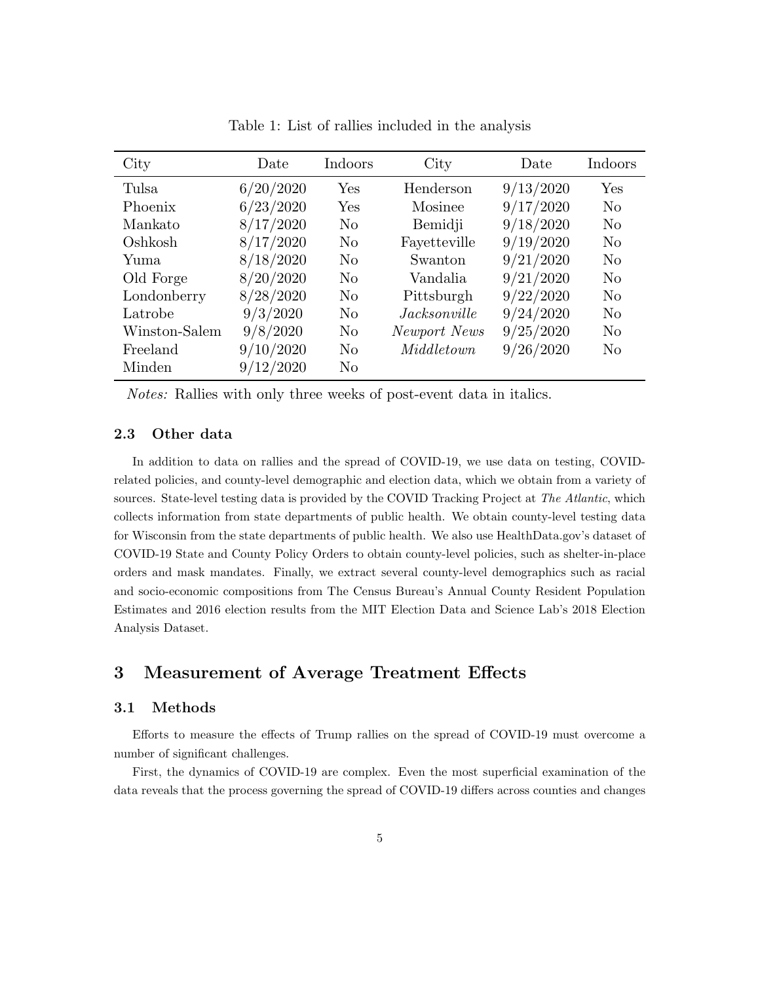<span id="page-4-1"></span>

| City          | Date      | Indoors        | City                | Date      | Indoors        |
|---------------|-----------|----------------|---------------------|-----------|----------------|
| Tulsa         | 6/20/2020 | Yes            | Henderson           | 9/13/2020 | Yes            |
| Phoenix       | 6/23/2020 | Yes            | Mosinee             | 9/17/2020 | $\rm No$       |
| Mankato       | 8/17/2020 | $\rm No$       | Bemidji             | 9/18/2020 | $\rm No$       |
| Oshkosh       | 8/17/2020 | N <sub>0</sub> | Fayetteville        | 9/19/2020 | $\rm No$       |
| Yuma          | 8/18/2020 | $\rm No$       | Swanton             | 9/21/2020 | $\rm No$       |
| Old Forge     | 8/20/2020 | $\rm No$       | Vandalia            | 9/21/2020 | N <sub>0</sub> |
| Londonberry   | 8/28/2020 | $\rm No$       | Pittsburgh          | 9/22/2020 | N <sub>0</sub> |
| Latrobe       | 9/3/2020  | $\rm No$       | <i>Jacksonville</i> | 9/24/2020 | N <sub>0</sub> |
| Winston-Salem | 9/8/2020  | $\rm No$       | Newport News        | 9/25/2020 | $\rm No$       |
| Freeland      | 9/10/2020 | $\rm No$       | Middletown          | 9/26/2020 | $\rm No$       |
| Minden        | 9/12/2020 | $\rm No$       |                     |           |                |

Table 1: List of rallies included in the analysis

Notes: Rallies with only three weeks of post-event data in italics.

### 2.3 Other data

In addition to data on rallies and the spread of COVID-19, we use data on testing, COVIDrelated policies, and county-level demographic and election data, which we obtain from a variety of sources. State-level testing data is provided by the COVID Tracking Project at The Atlantic, which collects information from state departments of public health. We obtain county-level testing data for Wisconsin from the state departments of public health. We also use HealthData.gov's dataset of COVID-19 State and County Policy Orders to obtain county-level policies, such as shelter-in-place orders and mask mandates. Finally, we extract several county-level demographics such as racial and socio-economic compositions from The Census Bureau's Annual County Resident Population Estimates and 2016 election results from the MIT Election Data and Science Lab's 2018 Election Analysis Dataset.

# <span id="page-4-0"></span>3 Measurement of Average Treatment Effects

### 3.1 Methods

Efforts to measure the effects of Trump rallies on the spread of COVID-19 must overcome a number of significant challenges.

First, the dynamics of COVID-19 are complex. Even the most superficial examination of the data reveals that the process governing the spread of COVID-19 differs across counties and changes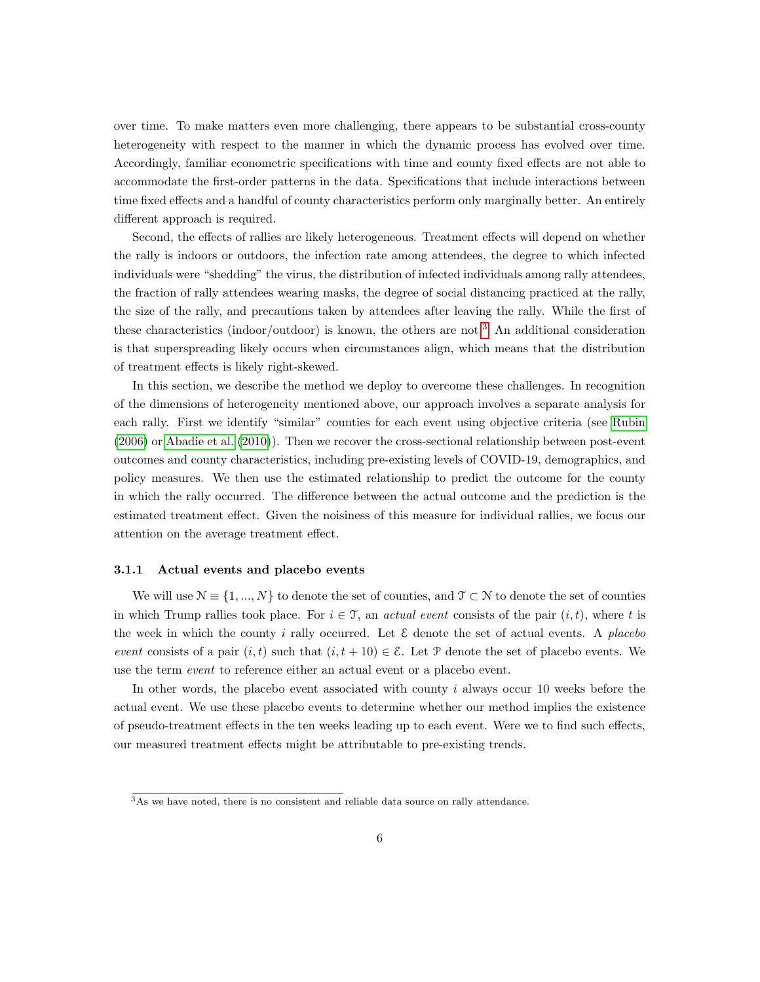over time. To make matters even more challenging, there appears to be substantial cross-county heterogeneity with respect to the manner in which the dynamic process has evolved over time. Accordingly, familiar econometric specifications with time and county fixed effects are not able to accommodate the first-order patterns in the data. Specifications that include interactions between time fixed effects and a handful of county characteristics perform only marginally better. An entirely different approach is required.

Second, the effects of rallies are likely heterogeneous. Treatment effects will depend on whether the rally is indoors or outdoors, the infection rate among attendees, the degree to which infected individuals were "shedding" the virus, the distribution of infected individuals among rally attendees, the fraction of rally attendees wearing masks, the degree of social distancing practiced at the rally, the size of the rally, and precautions taken by attendees after leaving the rally. While the first of these characteristics (indoor/outdoor) is known, the others are not.[3](#page-0-0) An additional consideration is that superspreading likely occurs when circumstances align, which means that the distribution of treatment effects is likely right-skewed.

In this section, we describe the method we deploy to overcome these challenges. In recognition of the dimensions of heterogeneity mentioned above, our approach involves a separate analysis for each rally. First we identify "similar" counties for each event using objective criteria (see [Rubin](#page-14-7) [\(2006\)](#page-14-7) or [Abadie et al.](#page-14-8) [\(2010\)](#page-14-8)). Then we recover the cross-sectional relationship between post-event outcomes and county characteristics, including pre-existing levels of COVID-19, demographics, and policy measures. We then use the estimated relationship to predict the outcome for the county in which the rally occurred. The difference between the actual outcome and the prediction is the estimated treatment effect. Given the noisiness of this measure for individual rallies, we focus our attention on the average treatment effect.

#### 3.1.1 Actual events and placebo events

We will use  $\mathcal{N} \equiv \{1, ..., N\}$  to denote the set of counties, and  $\mathcal{T} \subset \mathcal{N}$  to denote the set of counties in which Trump rallies took place. For  $i \in \mathcal{T}$ , an actual event consists of the pair  $(i, t)$ , where t is the week in which the county i rally occurred. Let  $\mathcal E$  denote the set of actual events. A placebo event consists of a pair  $(i, t)$  such that  $(i, t + 10) \in \mathcal{E}$ . Let P denote the set of placebo events. We use the term *event* to reference either an actual event or a placebo event.

In other words, the placebo event associated with county i always occur 10 weeks before the actual event. We use these placebo events to determine whether our method implies the existence of pseudo-treatment effects in the ten weeks leading up to each event. Were we to find such effects, our measured treatment effects might be attributable to pre-existing trends.

<sup>&</sup>lt;sup>3</sup>As we have noted, there is no consistent and reliable data source on rally attendance.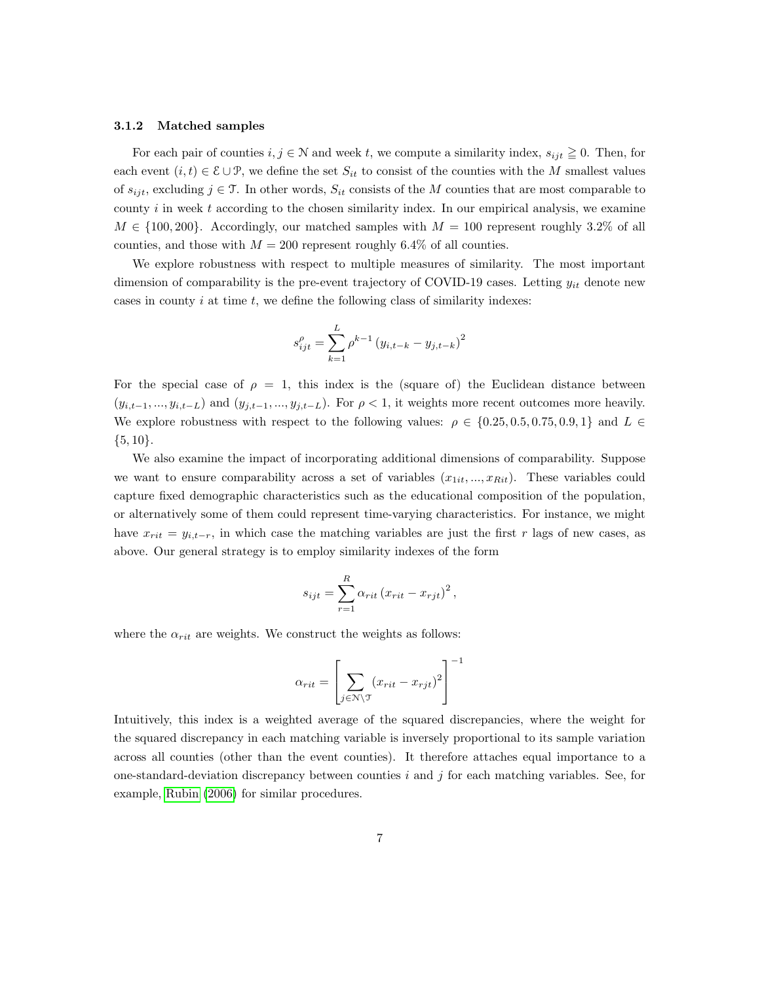#### 3.1.2 Matched samples

For each pair of counties  $i, j \in \mathbb{N}$  and week t, we compute a similarity index,  $s_{ijt} \geq 0$ . Then, for each event  $(i, t) \in \mathcal{E} \cup \mathcal{P}$ , we define the set  $S_{it}$  to consist of the counties with the M smallest values of  $s_{ijt}$ , excluding  $j \in \mathcal{T}$ . In other words,  $S_{it}$  consists of the M counties that are most comparable to county  $i$  in week  $t$  according to the chosen similarity index. In our empirical analysis, we examine  $M \in \{100, 200\}$ . Accordingly, our matched samples with  $M = 100$  represent roughly 3.2% of all counties, and those with  $M = 200$  represent roughly 6.4% of all counties.

We explore robustness with respect to multiple measures of similarity. The most important dimension of comparability is the pre-event trajectory of COVID-19 cases. Letting  $y_{it}$  denote new cases in county  $i$  at time  $t$ , we define the following class of similarity indexes:

$$
s_{ijt}^{\rho} = \sum_{k=1}^{L} \rho^{k-1} (y_{i,t-k} - y_{j,t-k})^2
$$

For the special case of  $\rho = 1$ , this index is the (square of) the Euclidean distance between  $(y_{i,t-1},...,y_{i,t-L})$  and  $(y_{j,t-1},...,y_{j,t-L})$ . For  $\rho < 1$ , it weights more recent outcomes more heavily. We explore robustness with respect to the following values:  $\rho \in \{0.25, 0.5, 0.75, 0.9, 1\}$  and  $L \in$  $\{5, 10\}.$ 

We also examine the impact of incorporating additional dimensions of comparability. Suppose we want to ensure comparability across a set of variables  $(x_{1it},...,x_{Rit})$ . These variables could capture fixed demographic characteristics such as the educational composition of the population, or alternatively some of them could represent time-varying characteristics. For instance, we might have  $x_{rit} = y_{i,t-r}$ , in which case the matching variables are just the first r lags of new cases, as above. Our general strategy is to employ similarity indexes of the form

$$
s_{ijt} = \sum_{r=1}^{R} \alpha_{rit} (x_{rit} - x_{rjt})^2,
$$

where the  $\alpha_{rit}$  are weights. We construct the weights as follows:

$$
\alpha_{rit} = \left[ \sum_{j \in \mathcal{N}\backslash \mathcal{T}} (x_{rit} - x_{rjt})^2 \right]^{-1}
$$

Intuitively, this index is a weighted average of the squared discrepancies, where the weight for the squared discrepancy in each matching variable is inversely proportional to its sample variation across all counties (other than the event counties). It therefore attaches equal importance to a one-standard-deviation discrepancy between counties i and j for each matching variables. See, for example, [Rubin](#page-14-7) [\(2006\)](#page-14-7) for similar procedures.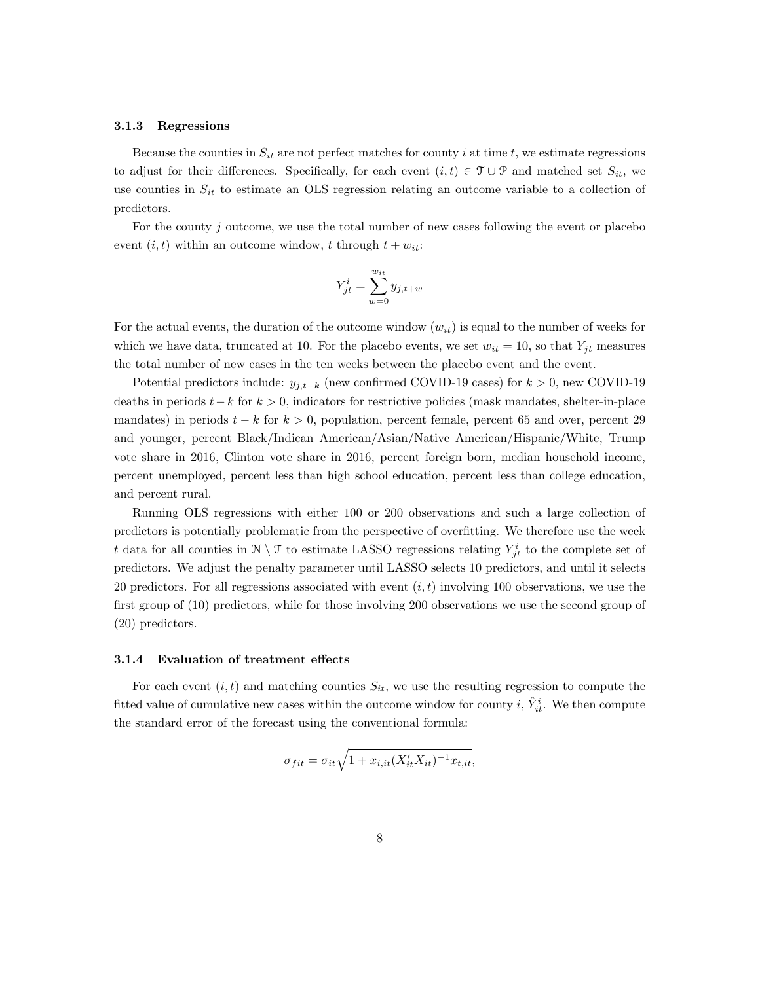#### 3.1.3 Regressions

Because the counties in  $S_{it}$  are not perfect matches for county i at time t, we estimate regressions to adjust for their differences. Specifically, for each event  $(i, t) \in \mathcal{T} \cup \mathcal{P}$  and matched set  $S_{it}$ , we use counties in  $S_{it}$  to estimate an OLS regression relating an outcome variable to a collection of predictors.

For the county  $j$  outcome, we use the total number of new cases following the event or placebo event  $(i, t)$  within an outcome window, t through  $t + w_{it}$ :

$$
Y_{jt}^i = \sum_{w=0}^{w_{it}} y_{j,t+w}
$$

For the actual events, the duration of the outcome window  $(w_{it})$  is equal to the number of weeks for which we have data, truncated at 10. For the placebo events, we set  $w_{it} = 10$ , so that  $Y_{jt}$  measures the total number of new cases in the ten weeks between the placebo event and the event.

Potential predictors include:  $y_{j,t-k}$  (new confirmed COVID-19 cases) for  $k > 0$ , new COVID-19 deaths in periods  $t-k$  for  $k > 0$ , indicators for restrictive policies (mask mandates, shelter-in-place mandates) in periods  $t - k$  for  $k > 0$ , population, percent female, percent 65 and over, percent 29 and younger, percent Black/Indican American/Asian/Native American/Hispanic/White, Trump vote share in 2016, Clinton vote share in 2016, percent foreign born, median household income, percent unemployed, percent less than high school education, percent less than college education, and percent rural.

Running OLS regressions with either 100 or 200 observations and such a large collection of predictors is potentially problematic from the perspective of overfitting. We therefore use the week t data for all counties in  $N \setminus \mathcal{T}$  to estimate LASSO regressions relating  $Y_{jt}^i$  to the complete set of predictors. We adjust the penalty parameter until LASSO selects 10 predictors, and until it selects 20 predictors. For all regressions associated with event  $(i, t)$  involving 100 observations, we use the first group of (10) predictors, while for those involving 200 observations we use the second group of (20) predictors.

#### 3.1.4 Evaluation of treatment effects

For each event  $(i, t)$  and matching counties  $S_{it}$ , we use the resulting regression to compute the fitted value of cumulative new cases within the outcome window for county i,  $\hat{Y}_{it}^i$ . We then compute the standard error of the forecast using the conventional formula:

$$
\sigma_{fit} = \sigma_{it}\sqrt{1 + x_{i,it}(X_{it}'X_{it})^{-1}x_{t,it}},
$$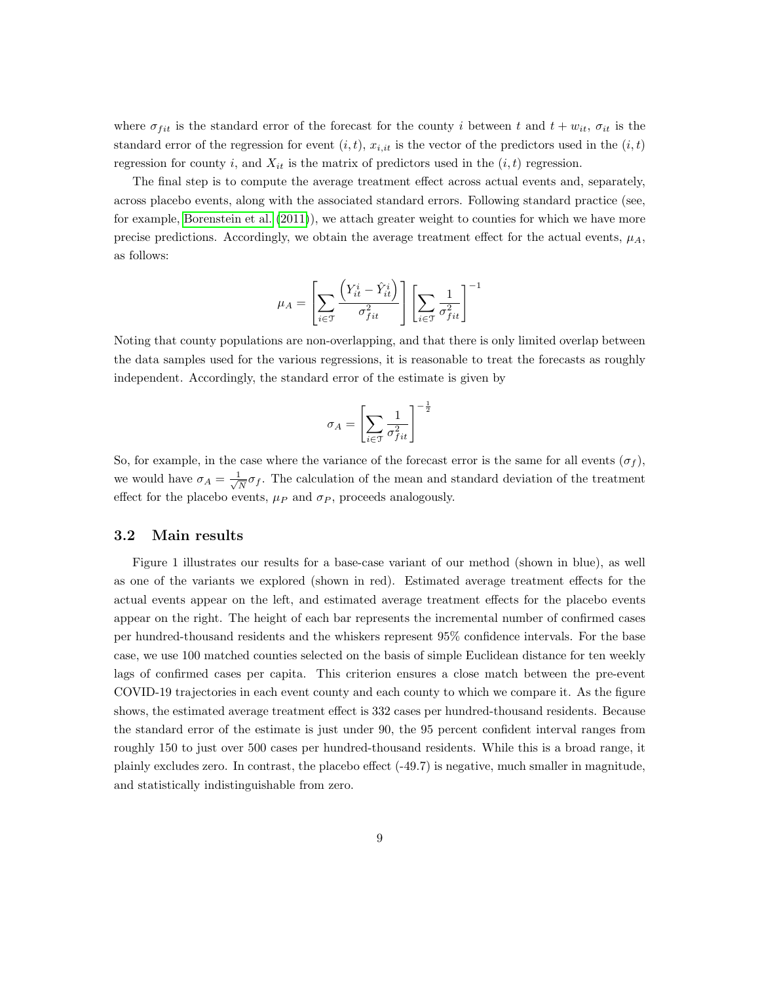where  $\sigma_{fit}$  is the standard error of the forecast for the county i between t and  $t + w_{it}$ ,  $\sigma_{it}$  is the standard error of the regression for event  $(i, t)$ ,  $x_{i, it}$  is the vector of the predictors used in the  $(i, t)$ regression for county i, and  $X_{it}$  is the matrix of predictors used in the  $(i, t)$  regression.

The final step is to compute the average treatment effect across actual events and, separately, across placebo events, along with the associated standard errors. Following standard practice (see, for example, [Borenstein et al.](#page-14-9) [\(2011\)](#page-14-9)), we attach greater weight to counties for which we have more precise predictions. Accordingly, we obtain the average treatment effect for the actual events,  $\mu_A$ , as follows:

$$
\mu_A = \left[ \sum_{i \in \mathfrak{I}} \frac{\left( Y^i_{it} - \hat{Y}^i_{it} \right) }{\sigma_{fit}^2} \right] \left[ \sum_{i \in \mathfrak{I}} \frac{1}{\sigma_{fit}^2} \right]^{-1}
$$

Noting that county populations are non-overlapping, and that there is only limited overlap between the data samples used for the various regressions, it is reasonable to treat the forecasts as roughly independent. Accordingly, the standard error of the estimate is given by

$$
\sigma_A = \left[ \sum_{i \in \mathfrak{T}} \frac{1}{\sigma_{fit}^2} \right]^{-\frac{1}{2}}
$$

So, for example, in the case where the variance of the forecast error is the same for all events  $(\sigma_f)$ , we would have  $\sigma_A = \frac{1}{\sqrt{2}}$  $\frac{1}{N}\sigma_f$ . The calculation of the mean and standard deviation of the treatment effect for the placebo events,  $\mu_P$  and  $\sigma_P$ , proceeds analogously.

### 3.2 Main results

Figure 1 illustrates our results for a base-case variant of our method (shown in blue), as well as one of the variants we explored (shown in red). Estimated average treatment effects for the actual events appear on the left, and estimated average treatment effects for the placebo events appear on the right. The height of each bar represents the incremental number of confirmed cases per hundred-thousand residents and the whiskers represent 95% confidence intervals. For the base case, we use 100 matched counties selected on the basis of simple Euclidean distance for ten weekly lags of confirmed cases per capita. This criterion ensures a close match between the pre-event COVID-19 trajectories in each event county and each county to which we compare it. As the figure shows, the estimated average treatment effect is 332 cases per hundred-thousand residents. Because the standard error of the estimate is just under 90, the 95 percent confident interval ranges from roughly 150 to just over 500 cases per hundred-thousand residents. While this is a broad range, it plainly excludes zero. In contrast, the placebo effect (-49.7) is negative, much smaller in magnitude, and statistically indistinguishable from zero.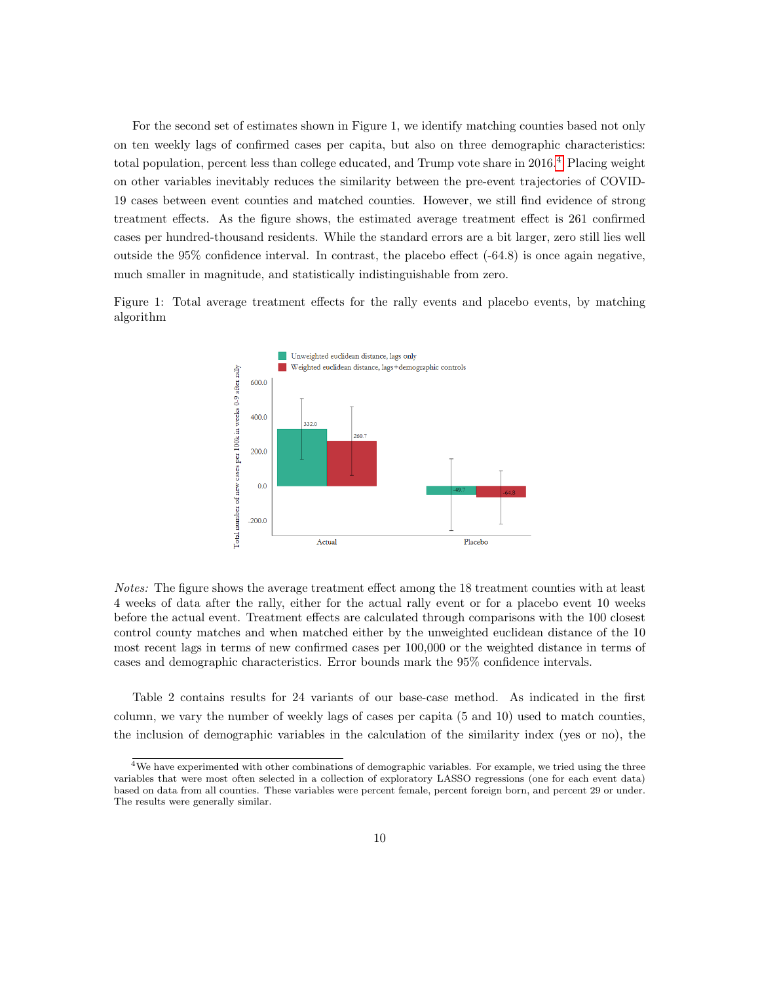For the second set of estimates shown in Figure 1, we identify matching counties based not only on ten weekly lags of confirmed cases per capita, but also on three demographic characteristics: total population, percent less than college educated, and Trump vote share in 2016.<sup>[4](#page-0-0)</sup> Placing weight on other variables inevitably reduces the similarity between the pre-event trajectories of COVID-19 cases between event counties and matched counties. However, we still find evidence of strong treatment effects. As the figure shows, the estimated average treatment effect is 261 confirmed cases per hundred-thousand residents. While the standard errors are a bit larger, zero still lies well outside the 95% confidence interval. In contrast, the placebo effect (-64.8) is once again negative, much smaller in magnitude, and statistically indistinguishable from zero.

Figure 1: Total average treatment effects for the rally events and placebo events, by matching algorithm



Notes: The figure shows the average treatment effect among the 18 treatment counties with at least 4 weeks of data after the rally, either for the actual rally event or for a placebo event 10 weeks before the actual event. Treatment effects are calculated through comparisons with the 100 closest control county matches and when matched either by the unweighted euclidean distance of the 10 most recent lags in terms of new confirmed cases per 100,000 or the weighted distance in terms of cases and demographic characteristics. Error bounds mark the 95% confidence intervals.

Table 2 contains results for 24 variants of our base-case method. As indicated in the first column, we vary the number of weekly lags of cases per capita (5 and 10) used to match counties, the inclusion of demographic variables in the calculation of the similarity index (yes or no), the

<sup>&</sup>lt;sup>4</sup>We have experimented with other combinations of demographic variables. For example, we tried using the three variables that were most often selected in a collection of exploratory LASSO regressions (one for each event data) based on data from all counties. These variables were percent female, percent foreign born, and percent 29 or under. The results were generally similar.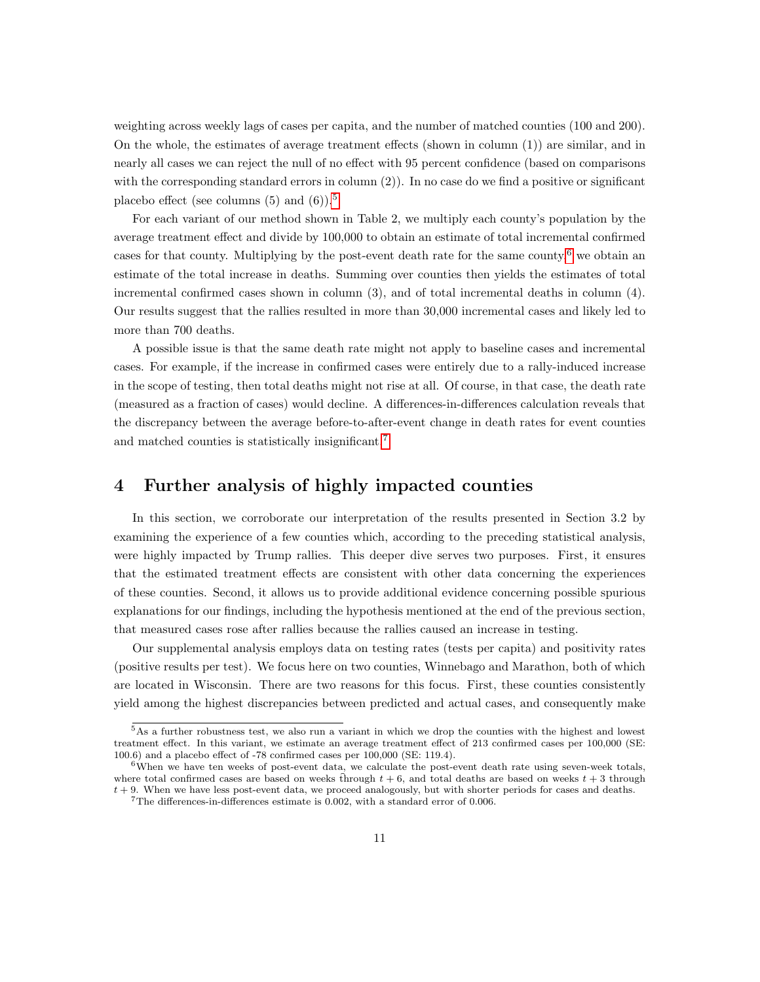weighting across weekly lags of cases per capita, and the number of matched counties (100 and 200). On the whole, the estimates of average treatment effects (shown in column  $(1)$ ) are similar, and in nearly all cases we can reject the null of no effect with 95 percent confidence (based on comparisons with the corresponding standard errors in column (2)). In no case do we find a positive or significant placebo effect (see columns  $(5)$  $(5)$  $(5)$  and  $(6)$ ).<sup>5</sup>

For each variant of our method shown in Table 2, we multiply each county's population by the average treatment effect and divide by 100,000 to obtain an estimate of total incremental confirmed cases for that county. Multiplying by the post-event death rate for the same county, $6$  we obtain an estimate of the total increase in deaths. Summing over counties then yields the estimates of total incremental confirmed cases shown in column (3), and of total incremental deaths in column (4). Our results suggest that the rallies resulted in more than 30,000 incremental cases and likely led to more than 700 deaths.

A possible issue is that the same death rate might not apply to baseline cases and incremental cases. For example, if the increase in confirmed cases were entirely due to a rally-induced increase in the scope of testing, then total deaths might not rise at all. Of course, in that case, the death rate (measured as a fraction of cases) would decline. A differences-in-differences calculation reveals that the discrepancy between the average before-to-after-event change in death rates for event counties and matched counties is statistically insignificant.[7](#page-0-0)

# <span id="page-10-0"></span>4 Further analysis of highly impacted counties

In this section, we corroborate our interpretation of the results presented in Section 3.2 by examining the experience of a few counties which, according to the preceding statistical analysis, were highly impacted by Trump rallies. This deeper dive serves two purposes. First, it ensures that the estimated treatment effects are consistent with other data concerning the experiences of these counties. Second, it allows us to provide additional evidence concerning possible spurious explanations for our findings, including the hypothesis mentioned at the end of the previous section, that measured cases rose after rallies because the rallies caused an increase in testing.

Our supplemental analysis employs data on testing rates (tests per capita) and positivity rates (positive results per test). We focus here on two counties, Winnebago and Marathon, both of which are located in Wisconsin. There are two reasons for this focus. First, these counties consistently yield among the highest discrepancies between predicted and actual cases, and consequently make

<sup>5</sup>As a further robustness test, we also run a variant in which we drop the counties with the highest and lowest treatment effect. In this variant, we estimate an average treatment effect of 213 confirmed cases per 100,000 (SE: 100.6) and a placebo effect of -78 confirmed cases per 100,000 (SE: 119.4).

 $6$ When we have ten weeks of post-event data, we calculate the post-event death rate using seven-week totals, where total confirmed cases are based on weeks through  $t + 6$ , and total deaths are based on weeks  $t + 3$  through  $t + 9$ . When we have less post-event data, we proceed analogously, but with shorter periods for cases and deaths.

 $7$ The differences-in-differences estimate is 0.002, with a standard error of 0.006.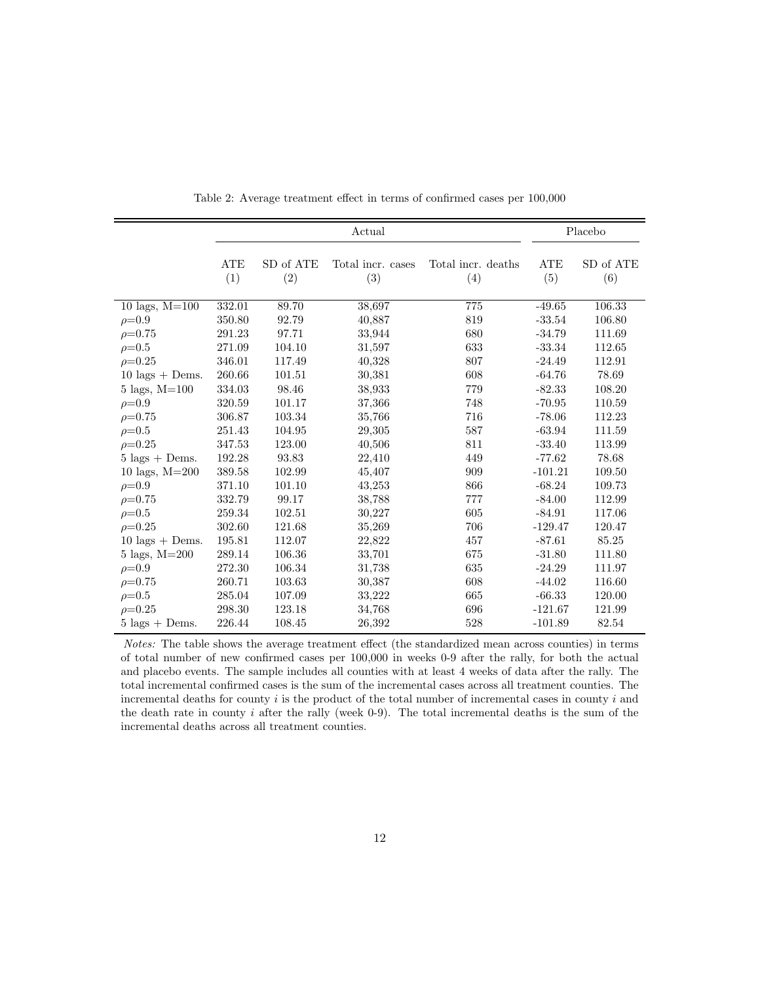|                                  |                   |                  | Placebo                  |                           |                   |                  |
|----------------------------------|-------------------|------------------|--------------------------|---------------------------|-------------------|------------------|
|                                  | <b>ATE</b><br>(1) | SD of ATE<br>(2) | Total incr. cases<br>(3) | Total incr. deaths<br>(4) | <b>ATE</b><br>(5) | SD of ATE<br>(6) |
| 10 lags, $M=100$                 | 332.01            | 89.70            | 38,697                   | 775                       | $-49.65$          | 106.33           |
| $\rho = 0.9$                     | 350.80            | 92.79            | 40,887                   | 819                       | $-33.54$          | 106.80           |
| $\rho = 0.75$                    | 291.23            | 97.71            | 33,944                   | 680                       | $-34.79$          | 111.69           |
| $\rho = 0.5$                     | 271.09            | 104.10           | 31,597                   | 633                       | $-33.34$          | 112.65           |
| $\rho = 0.25$                    | 346.01            | 117.49           | 40,328                   | 807                       | $-24.49$          | 112.91           |
| $10 \text{ lags} + \text{Dems.}$ | 260.66            | 101.51           | 30,381                   | 608                       | $-64.76$          | 78.69            |
| $5 \text{ lags}, M=100$          | 334.03            | 98.46            | 38,933                   | 779                       | $-82.33$          | 108.20           |
| $\rho = 0.9$                     | 320.59            | 101.17           | 37,366                   | 748                       | $-70.95$          | 110.59           |
| $\rho = 0.75$                    | 306.87            | 103.34           | 35,766                   | 716                       | $-78.06$          | 112.23           |
| $\rho = 0.5$                     | 251.43            | 104.95           | 29,305                   | 587                       | $-63.94$          | 111.59           |
| $\rho = 0.25$                    | 347.53            | 123.00           | 40,506                   | 811                       | $-33.40$          | 113.99           |
| $5 \text{ lags} + \text{Dems.}$  | 192.28            | 93.83            | 22,410                   | 449                       | $-77.62$          | 78.68            |
| 10 lags, $M = 200$               | 389.58            | 102.99           | 45,407                   | 909                       | $-101.21$         | 109.50           |
| $\rho = 0.9$                     | 371.10            | 101.10           | 43,253                   | 866                       | $-68.24$          | 109.73           |
| $\rho = 0.75$                    | 332.79            | 99.17            | 38,788                   | 777                       | $-84.00$          | 112.99           |
| $\rho = 0.5$                     | 259.34            | 102.51           | 30,227                   | 605                       | $-84.91$          | 117.06           |
| $\rho = 0.25$                    | 302.60            | 121.68           | 35,269                   | 706                       | $-129.47$         | 120.47           |
| $10 \text{ lags} + \text{Dems}.$ | 195.81            | 112.07           | 22,822                   | 457                       | $-87.61$          | 85.25            |
| $5 \text{ lags}, M=200$          | 289.14            | 106.36           | 33,701                   | 675                       | $-31.80$          | 111.80           |
| $\rho = 0.9$                     | 272.30            | 106.34           | 31,738                   | 635                       | $-24.29$          | 111.97           |
| $\rho = 0.75$                    | 260.71            | 103.63           | 30,387                   | 608                       | $-44.02$          | 116.60           |
| $\rho = 0.5$                     | 285.04            | 107.09           | 33,222                   | 665                       | $-66.33$          | 120.00           |
| $\rho = 0.25$                    | 298.30            | 123.18           | 34,768                   | 696                       | $-121.67$         | 121.99           |
| $5 \text{ lags} + \text{Dems.}$  | 226.44            | 108.45           | 26,392                   | 528                       | $-101.89$         | 82.54            |

Table 2: Average treatment effect in terms of confirmed cases per 100,000

Notes: The table shows the average treatment effect (the standardized mean across counties) in terms of total number of new confirmed cases per 100,000 in weeks 0-9 after the rally, for both the actual and placebo events. The sample includes all counties with at least 4 weeks of data after the rally. The total incremental confirmed cases is the sum of the incremental cases across all treatment counties. The incremental deaths for county  $i$  is the product of the total number of incremental cases in county  $i$  and the death rate in county  $i$  after the rally (week 0-9). The total incremental deaths is the sum of the incremental deaths across all treatment counties.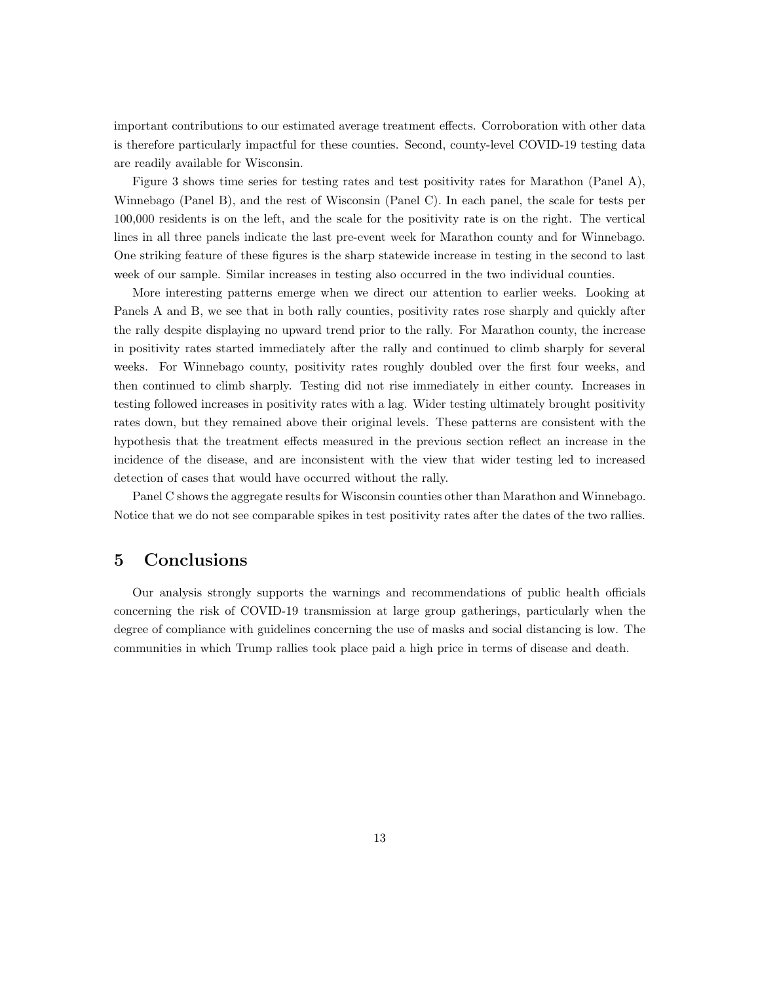important contributions to our estimated average treatment effects. Corroboration with other data is therefore particularly impactful for these counties. Second, county-level COVID-19 testing data are readily available for Wisconsin.

Figure 3 shows time series for testing rates and test positivity rates for Marathon (Panel A), Winnebago (Panel B), and the rest of Wisconsin (Panel C). In each panel, the scale for tests per 100,000 residents is on the left, and the scale for the positivity rate is on the right. The vertical lines in all three panels indicate the last pre-event week for Marathon county and for Winnebago. One striking feature of these figures is the sharp statewide increase in testing in the second to last week of our sample. Similar increases in testing also occurred in the two individual counties.

More interesting patterns emerge when we direct our attention to earlier weeks. Looking at Panels A and B, we see that in both rally counties, positivity rates rose sharply and quickly after the rally despite displaying no upward trend prior to the rally. For Marathon county, the increase in positivity rates started immediately after the rally and continued to climb sharply for several weeks. For Winnebago county, positivity rates roughly doubled over the first four weeks, and then continued to climb sharply. Testing did not rise immediately in either county. Increases in testing followed increases in positivity rates with a lag. Wider testing ultimately brought positivity rates down, but they remained above their original levels. These patterns are consistent with the hypothesis that the treatment effects measured in the previous section reflect an increase in the incidence of the disease, and are inconsistent with the view that wider testing led to increased detection of cases that would have occurred without the rally.

Panel C shows the aggregate results for Wisconsin counties other than Marathon and Winnebago. Notice that we do not see comparable spikes in test positivity rates after the dates of the two rallies.

# <span id="page-12-0"></span>5 Conclusions

Our analysis strongly supports the warnings and recommendations of public health officials concerning the risk of COVID-19 transmission at large group gatherings, particularly when the degree of compliance with guidelines concerning the use of masks and social distancing is low. The communities in which Trump rallies took place paid a high price in terms of disease and death.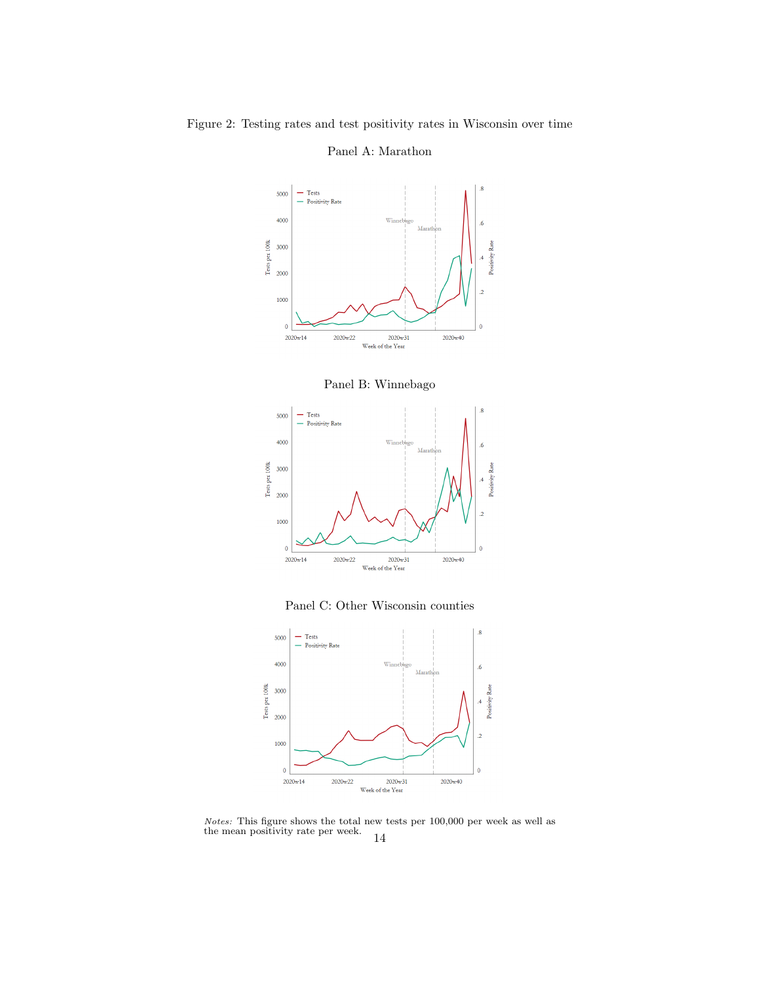### - Tests<br>- Positivity Rate 5000 4000 Tests per 100k 3000 2000 1000  $\overline{\mathbf{0}}$  $2020w14$  $2020w40$ 2020w22 2020w31 Week of the Year

Panel A: Marathon





Panel C: Other Wisconsin counties



Notes: This figure shows the total new tests per 100,000 per week as well as the mean positivity rate per week. 14